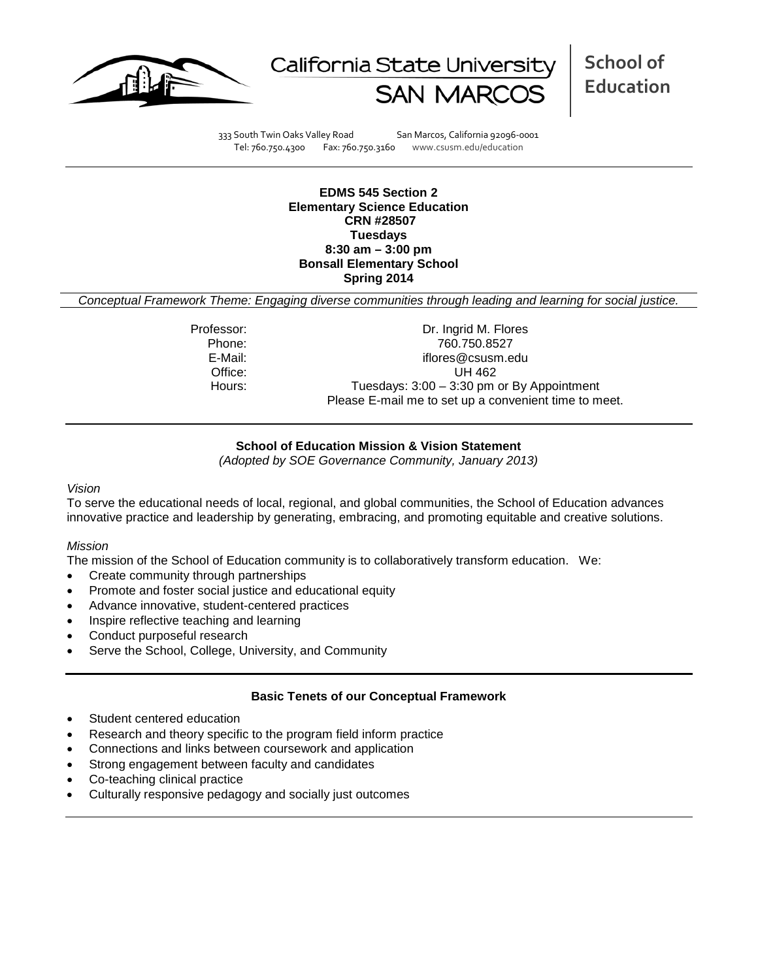



333 South Twin Oaks Valley Road San Marcos, California 92096-0001 Tel: 760.750.4300 Fax: 760.750.3160 www.csusm.edu/education

**EDMS 545 Section 2 Elementary Science Education CRN #28507 Tuesdays 8:30 am – 3:00 pm Bonsall Elementary School Spring 2014** 

*Conceptual Framework Theme: Engaging diverse communities through leading and learning for social justice.*

Professor: Dr. Ingrid M. Flores Phone: 760.750.8527<br>E-Mail: 760.750.8527<br>F-Mail: 760.750.8527 iflores@csusm.edu Office: UH 462 Hours: Tuesdays: 3:00 - 3:30 pm or By Appointment Please E-mail me to set up a convenient time to meet.

### **School of Education Mission & Vision Statement**

*(Adopted by SOE Governance Community, January 2013)*

#### *Vision*

To serve the educational needs of local, regional, and global communities, the School of Education advances innovative practice and leadership by generating, embracing, and promoting equitable and creative solutions.

### *Mission*

The mission of the School of Education community is to collaboratively transform education. We:

- Create community through partnerships
- Promote and foster social justice and educational equity
- Advance innovative, student-centered practices
- Inspire reflective teaching and learning
- Conduct purposeful research
- Serve the School, College, University, and Community

### **Basic Tenets of our Conceptual Framework**

- Student centered education
- Research and theory specific to the program field inform practice
- Connections and links between coursework and application
- Strong engagement between faculty and candidates
- Co-teaching clinical practice
- Culturally responsive pedagogy and socially just outcomes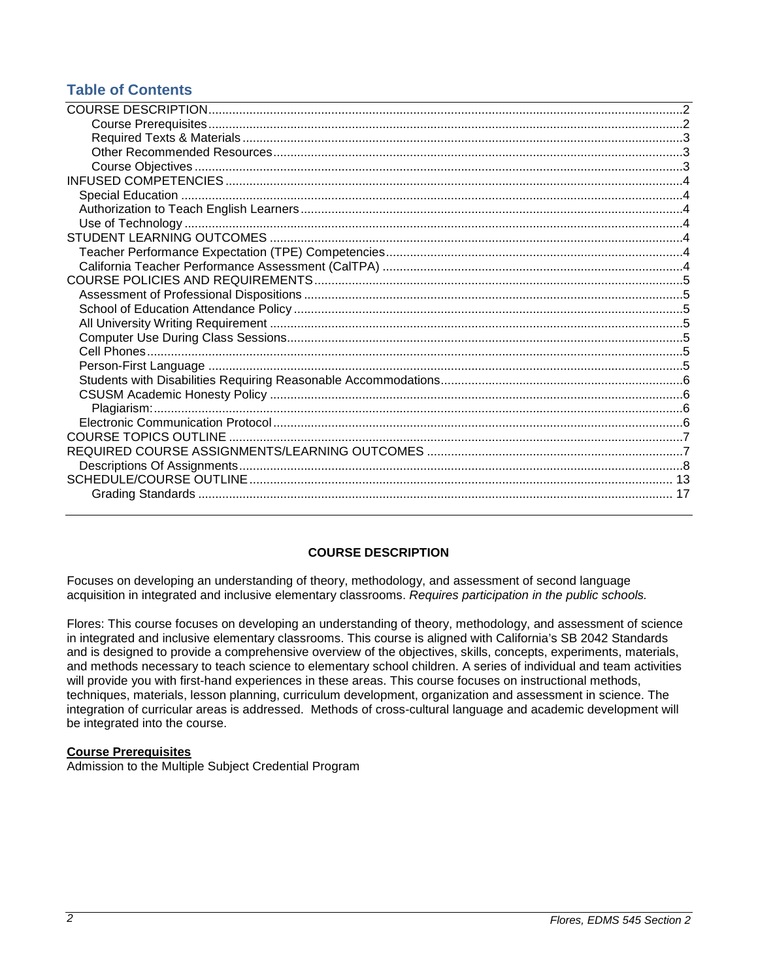# **Table of Contents**

# **COURSE DESCRIPTION**

<span id="page-1-0"></span>Focuses on developing an understanding of theory, methodology, and assessment of second language acquisition in integrated and inclusive elementary classrooms. *Requires participation in the public schools.*

Flores: This course focuses on developing an understanding of theory, methodology, and assessment of science in integrated and inclusive elementary classrooms. This course is aligned with California's SB 2042 Standards and is designed to provide a comprehensive overview of the objectives, skills, concepts, experiments, materials, and methods necessary to teach science to elementary school children. A series of individual and team activities will provide you with first-hand experiences in these areas. This course focuses on instructional methods, techniques, materials, lesson planning, curriculum development, organization and assessment in science. The integration of curricular areas is addressed. Methods of cross-cultural language and academic development will be integrated into the course.

### <span id="page-1-1"></span>**Course Prerequisites**

<span id="page-1-2"></span>Admission to the Multiple Subject Credential Program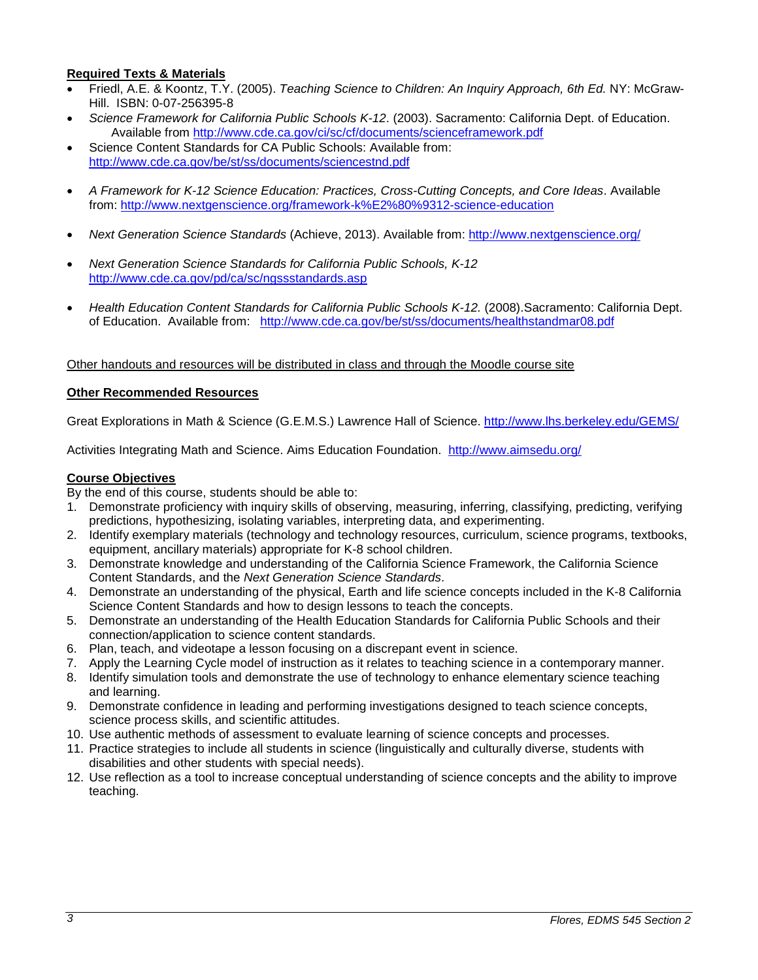### **Required Texts & Materials**

- Friedl, A.E. & Koontz, T.Y. (2005). *Teaching Science to Children: An Inquiry Approach, 6th Ed.* NY: McGraw-Hill. ISBN: 0-07-256395-8
- *Science Framework for California Public Schools K-12*. (2003). Sacramento: California Dept. of Education. Available from<http://www.cde.ca.gov/ci/sc/cf/documents/scienceframework.pdf>
- Science Content Standards for CA Public Schools: Available from: <http://www.cde.ca.gov/be/st/ss/documents/sciencestnd.pdf>
- *A Framework for K-12 Science Education: Practices, Cross-Cutting Concepts, and Core Ideas*. Available from: <http://www.nextgenscience.org/framework-k%E2%80%9312-science-education>
- *Next Generation Science Standards* (Achieve, 2013). Available from:<http://www.nextgenscience.org/>
- *Next Generation Science Standards for California Public Schools, K-12* <http://www.cde.ca.gov/pd/ca/sc/ngssstandards.asp>
- *Health Education Content Standards for California Public Schools K-12.* (2008).Sacramento: California Dept. of Education. Available from: <http://www.cde.ca.gov/be/st/ss/documents/healthstandmar08.pdf>

### Other handouts and resources will be distributed in class and through the Moodle course site

### <span id="page-2-0"></span>**Other Recommended Resources**

Great Explorations in Math & Science (G.E.M.S.) Lawrence Hall of Science.<http://www.lhs.berkeley.edu/GEMS/>

Activities Integrating Math and Science. Aims Education Foundation. <http://www.aimsedu.org/>

#### <span id="page-2-1"></span>**Course Objectives**

By the end of this course, students should be able to:

- 1. Demonstrate proficiency with inquiry skills of observing, measuring, inferring, classifying, predicting, verifying predictions, hypothesizing, isolating variables, interpreting data, and experimenting.
- 2. Identify exemplary materials (technology and technology resources, curriculum, science programs, textbooks, equipment, ancillary materials) appropriate for K-8 school children.
- 3. Demonstrate knowledge and understanding of the California Science Framework, the California Science Content Standards, and the *Next Generation Science Standards*.
- 4. Demonstrate an understanding of the physical, Earth and life science concepts included in the K-8 California Science Content Standards and how to design lessons to teach the concepts.
- 5. Demonstrate an understanding of the Health Education Standards for California Public Schools and their connection/application to science content standards.
- 6. Plan, teach, and videotape a lesson focusing on a discrepant event in science.
- 7. Apply the Learning Cycle model of instruction as it relates to teaching science in a contemporary manner.
- 8. Identify simulation tools and demonstrate the use of technology to enhance elementary science teaching and learning.
- 9. Demonstrate confidence in leading and performing investigations designed to teach science concepts, science process skills, and scientific attitudes.
- 10. Use authentic methods of assessment to evaluate learning of science concepts and processes.
- 11. Practice strategies to include all students in science (linguistically and culturally diverse, students with disabilities and other students with special needs).
- <span id="page-2-2"></span>12. Use reflection as a tool to increase conceptual understanding of science concepts and the ability to improve teaching.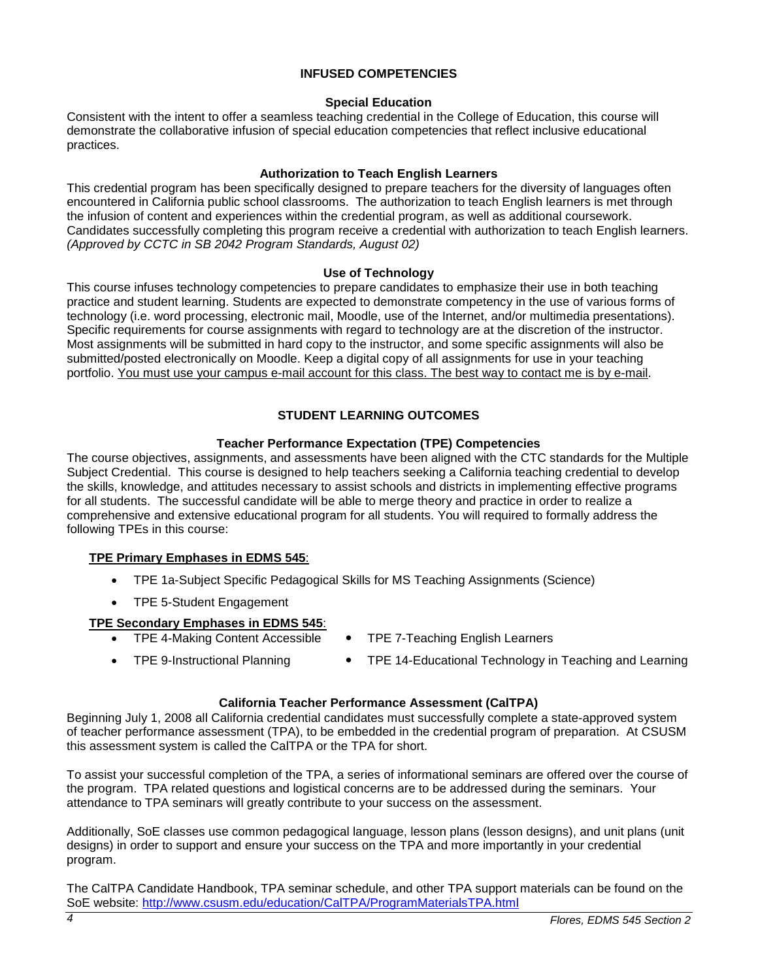### **INFUSED COMPETENCIES**

### **Special Education**

<span id="page-3-0"></span>Consistent with the intent to offer a seamless teaching credential in the College of Education, this course will demonstrate the collaborative infusion of special education competencies that reflect inclusive educational practices.

### **Authorization to Teach English Learners**

<span id="page-3-1"></span>This credential program has been specifically designed to prepare teachers for the diversity of languages often encountered in California public school classrooms. The authorization to teach English learners is met through the infusion of content and experiences within the credential program, as well as additional coursework. Candidates successfully completing this program receive a credential with authorization to teach English learners. *(Approved by CCTC in SB 2042 Program Standards, August 02)*

### **Use of Technology**

<span id="page-3-2"></span>This course infuses technology competencies to prepare candidates to emphasize their use in both teaching practice and student learning. Students are expected to demonstrate competency in the use of various forms of technology (i.e. word processing, electronic mail, Moodle, use of the Internet, and/or multimedia presentations). Specific requirements for course assignments with regard to technology are at the discretion of the instructor. Most assignments will be submitted in hard copy to the instructor, and some specific assignments will also be submitted/posted electronically on Moodle. Keep a digital copy of all assignments for use in your teaching portfolio. You must use your campus e-mail account for this class. The best way to contact me is by e-mail.

# **STUDENT LEARNING OUTCOMES**

### **Teacher Performance Expectation (TPE) Competencies**

<span id="page-3-4"></span><span id="page-3-3"></span>The course objectives, assignments, and assessments have been aligned with the CTC standards for the Multiple Subject Credential. This course is designed to help teachers seeking a California teaching credential to develop the skills, knowledge, and attitudes necessary to assist schools and districts in implementing effective programs for all students. The successful candidate will be able to merge theory and practice in order to realize a comprehensive and extensive educational program for all students. You will required to formally address the following TPEs in this course:

# **TPE Primary Emphases in EDMS 545**:

- TPE 1a-Subject Specific Pedagogical Skills for MS Teaching Assignments (Science)
- TPE 5-Student Engagement

# **TPE Secondary Emphases in EDMS 545**:

- TPE 4-Making Content Accessible TPE 7-Teaching English Learners
	-
- TPE 9-Instructional Planning TPE 14-Educational Technology in Teaching and Learning
	-

# **California Teacher Performance Assessment (CalTPA)**

<span id="page-3-5"></span>Beginning July 1, 2008 all California credential candidates must successfully complete a state-approved system of teacher performance assessment (TPA), to be embedded in the credential program of preparation. At CSUSM this assessment system is called the CalTPA or the TPA for short.

To assist your successful completion of the TPA, a series of informational seminars are offered over the course of the program. TPA related questions and logistical concerns are to be addressed during the seminars. Your attendance to TPA seminars will greatly contribute to your success on the assessment.

Additionally, SoE classes use common pedagogical language, lesson plans (lesson designs), and unit plans (unit designs) in order to support and ensure your success on the TPA and more importantly in your credential program.

<span id="page-3-6"></span>The CalTPA Candidate Handbook, TPA seminar schedule, and other TPA support materials can be found on the SoE website: <http://www.csusm.edu/education/CalTPA/ProgramMaterialsTPA.html>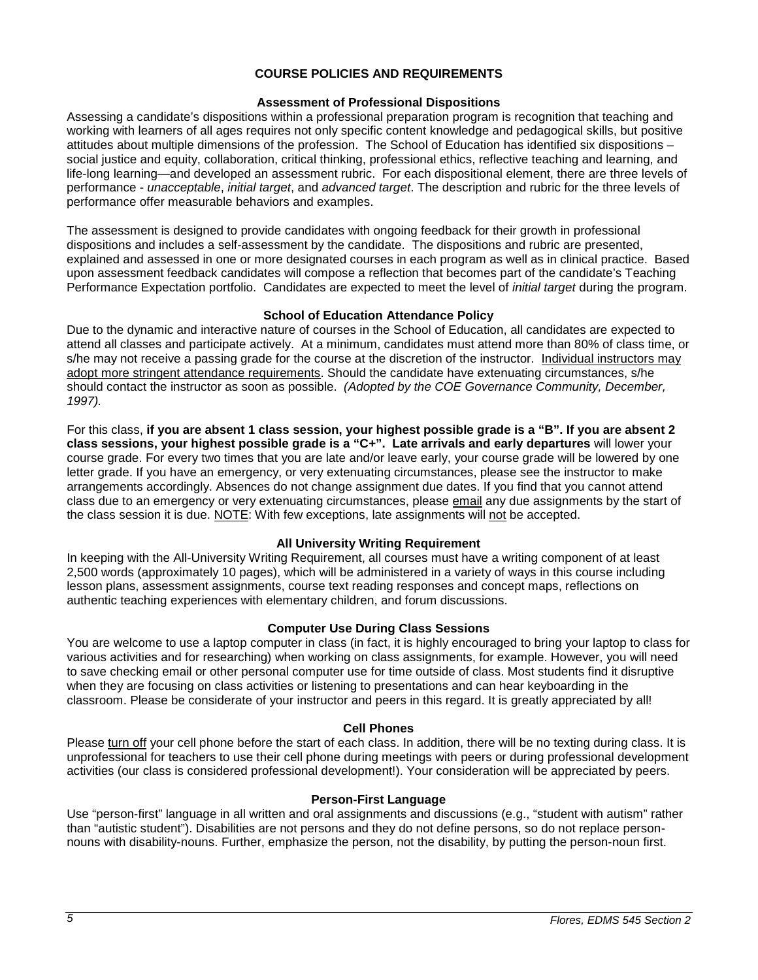### **COURSE POLICIES AND REQUIREMENTS**

### **Assessment of Professional Dispositions**

<span id="page-4-0"></span>Assessing a candidate's dispositions within a professional preparation program is recognition that teaching and working with learners of all ages requires not only specific content knowledge and pedagogical skills, but positive attitudes about multiple dimensions of the profession. The School of Education has identified six dispositions – social justice and equity, collaboration, critical thinking, professional ethics, reflective teaching and learning, and life-long learning—and developed an assessment rubric. For each dispositional element, there are three levels of performance - *unacceptable*, *initial target*, and *advanced target*. The description and rubric for the three levels of performance offer measurable behaviors and examples.

The assessment is designed to provide candidates with ongoing feedback for their growth in professional dispositions and includes a self-assessment by the candidate. The dispositions and rubric are presented, explained and assessed in one or more designated courses in each program as well as in clinical practice. Based upon assessment feedback candidates will compose a reflection that becomes part of the candidate's Teaching Performance Expectation portfolio. Candidates are expected to meet the level of *initial target* during the program.

### **School of Education Attendance Policy**

<span id="page-4-1"></span>Due to the dynamic and interactive nature of courses in the School of Education, all candidates are expected to attend all classes and participate actively. At a minimum, candidates must attend more than 80% of class time, or s/he may not receive a passing grade for the course at the discretion of the instructor. Individual instructors may adopt more stringent attendance requirements. Should the candidate have extenuating circumstances, s/he should contact the instructor as soon as possible. *(Adopted by the COE Governance Community, December, 1997).*

For this class, **if you are absent 1 class session, your highest possible grade is a "B". If you are absent 2 class sessions, your highest possible grade is a "C+". Late arrivals and early departures** will lower your course grade. For every two times that you are late and/or leave early, your course grade will be lowered by one letter grade. If you have an emergency, or very extenuating circumstances, please see the instructor to make arrangements accordingly. Absences do not change assignment due dates. If you find that you cannot attend class due to an emergency or very extenuating circumstances, please email any due assignments by the start of the class session it is due. NOTE: With few exceptions, late assignments will not be accepted.

# **All University Writing Requirement**

<span id="page-4-2"></span>In keeping with the All-University Writing Requirement, all courses must have a writing component of at least 2,500 words (approximately 10 pages), which will be administered in a variety of ways in this course including lesson plans, assessment assignments, course text reading responses and concept maps, reflections on authentic teaching experiences with elementary children, and forum discussions.

### **Computer Use During Class Sessions**

<span id="page-4-3"></span>You are welcome to use a laptop computer in class (in fact, it is highly encouraged to bring your laptop to class for various activities and for researching) when working on class assignments, for example. However, you will need to save checking email or other personal computer use for time outside of class. Most students find it disruptive when they are focusing on class activities or listening to presentations and can hear keyboarding in the classroom. Please be considerate of your instructor and peers in this regard. It is greatly appreciated by all!

### **Cell Phones**

<span id="page-4-4"></span>Please turn off your cell phone before the start of each class. In addition, there will be no texting during class. It is unprofessional for teachers to use their cell phone during meetings with peers or during professional development activities (our class is considered professional development!). Your consideration will be appreciated by peers.

### **Person-First Language**

<span id="page-4-6"></span><span id="page-4-5"></span>Use "person-first" language in all written and oral assignments and discussions (e.g., "student with autism" rather than "autistic student"). Disabilities are not persons and they do not define persons, so do not replace personnouns with disability-nouns. Further, emphasize the person, not the disability, by putting the person-noun first.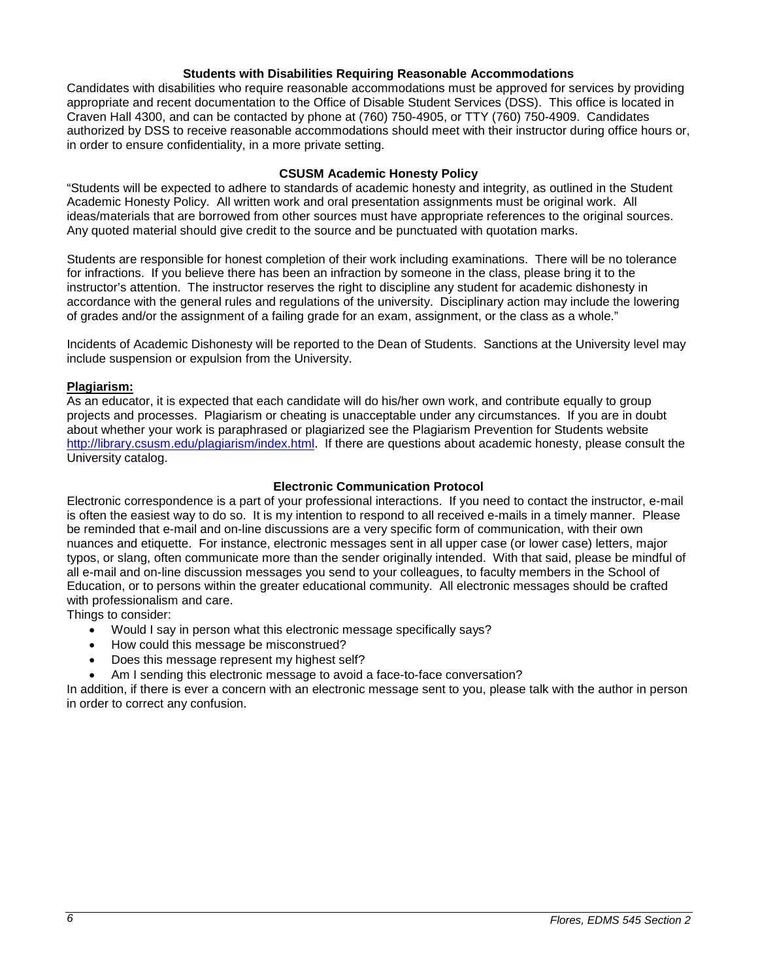### **Students with Disabilities Requiring Reasonable Accommodations**

Candidates with disabilities who require reasonable accommodations must be approved for services by providing appropriate and recent documentation to the Office of Disable Student Services (DSS). This office is located in Craven Hall 4300, and can be contacted by phone at (760) 750-4905, or TTY (760) 750-4909. Candidates authorized by DSS to receive reasonable accommodations should meet with their instructor during office hours or, in order to ensure confidentiality, in a more private setting.

### **CSUSM Academic Honesty Policy**

<span id="page-5-0"></span>"Students will be expected to adhere to standards of academic honesty and integrity, as outlined in the Student Academic Honesty Policy. All written work and oral presentation assignments must be original work. All ideas/materials that are borrowed from other sources must have appropriate references to the original sources. Any quoted material should give credit to the source and be punctuated with quotation marks.

Students are responsible for honest completion of their work including examinations. There will be no tolerance for infractions. If you believe there has been an infraction by someone in the class, please bring it to the instructor's attention. The instructor reserves the right to discipline any student for academic dishonesty in accordance with the general rules and regulations of the university. Disciplinary action may include the lowering of grades and/or the assignment of a failing grade for an exam, assignment, or the class as a whole."

Incidents of Academic Dishonesty will be reported to the Dean of Students. Sanctions at the University level may include suspension or expulsion from the University.

### <span id="page-5-1"></span>**Plagiarism:**

As an educator, it is expected that each candidate will do his/her own work, and contribute equally to group projects and processes. Plagiarism or cheating is unacceptable under any circumstances. If you are in doubt about whether your work is paraphrased or plagiarized see the Plagiarism Prevention for Students website [http://library.csusm.edu/plagiarism/index.html.](http://library.csusm.edu/plagiarism/index.html) If there are questions about academic honesty, please consult the University catalog.

### **Electronic Communication Protocol**

<span id="page-5-2"></span>Electronic correspondence is a part of your professional interactions. If you need to contact the instructor, e-mail is often the easiest way to do so. It is my intention to respond to all received e-mails in a timely manner. Please be reminded that e-mail and on-line discussions are a very specific form of communication, with their own nuances and etiquette. For instance, electronic messages sent in all upper case (or lower case) letters, major typos, or slang, often communicate more than the sender originally intended. With that said, please be mindful of all e-mail and on-line discussion messages you send to your colleagues, to faculty members in the School of Education, or to persons within the greater educational community. All electronic messages should be crafted with professionalism and care.

Things to consider:

- Would I say in person what this electronic message specifically says?
- How could this message be misconstrued?
- Does this message represent my highest self?
- Am I sending this electronic message to avoid a face-to-face conversation?

<span id="page-5-3"></span>In addition, if there is ever a concern with an electronic message sent to you, please talk with the author in person in order to correct any confusion.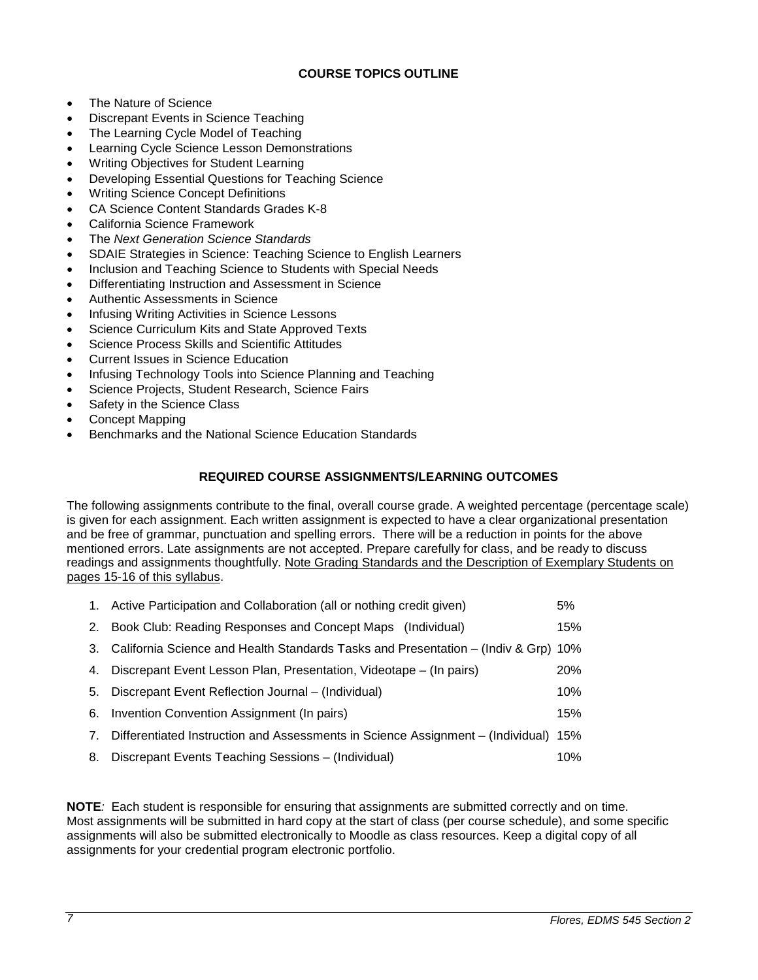# **COURSE TOPICS OUTLINE**

- The Nature of Science
- Discrepant Events in Science Teaching
- The Learning Cycle Model of Teaching
- Learning Cycle Science Lesson Demonstrations
- Writing Objectives for Student Learning
- Developing Essential Questions for Teaching Science
- Writing Science Concept Definitions
- CA Science Content Standards Grades K-8
- California Science Framework
- The *Next Generation Science Standards*
- SDAIE Strategies in Science: Teaching Science to English Learners
- Inclusion and Teaching Science to Students with Special Needs
- Differentiating Instruction and Assessment in Science
- Authentic Assessments in Science
- Infusing Writing Activities in Science Lessons
- Science Curriculum Kits and State Approved Texts
- Science Process Skills and Scientific Attitudes
- Current Issues in Science Education
- Infusing Technology Tools into Science Planning and Teaching
- Science Projects, Student Research, Science Fairs
- Safety in the Science Class
- Concept Mapping
- Benchmarks and the National Science Education Standards

# **REQUIRED COURSE ASSIGNMENTS/LEARNING OUTCOMES**

<span id="page-6-0"></span>The following assignments contribute to the final, overall course grade. A weighted percentage (percentage scale) is given for each assignment. Each written assignment is expected to have a clear organizational presentation and be free of grammar, punctuation and spelling errors. There will be a reduction in points for the above mentioned errors. Late assignments are not accepted. Prepare carefully for class, and be ready to discuss readings and assignments thoughtfully. Note Grading Standards and the Description of Exemplary Students on pages 15-16 of this syllabus.

|    | 1. Active Participation and Collaboration (all or nothing credit given)         | 5%         |
|----|---------------------------------------------------------------------------------|------------|
| 2. | Book Club: Reading Responses and Concept Maps (Individual)                      | 15%        |
| 3. | California Science and Health Standards Tasks and Presentation – (Indiv & Grp)  | 10%        |
| 4. | Discrepant Event Lesson Plan, Presentation, Videotape – (In pairs)              | <b>20%</b> |
| 5. | Discrepant Event Reflection Journal - (Individual)                              | 10%        |
| 6. | Invention Convention Assignment (In pairs)                                      | 15%        |
| 7. | Differentiated Instruction and Assessments in Science Assignment – (Individual) | 15%        |
| 8. | Discrepant Events Teaching Sessions - (Individual)                              | 10%        |

<span id="page-6-1"></span>**NOTE***:* Each student is responsible for ensuring that assignments are submitted correctly and on time. Most assignments will be submitted in hard copy at the start of class (per course schedule), and some specific assignments will also be submitted electronically to Moodle as class resources. Keep a digital copy of all assignments for your credential program electronic portfolio.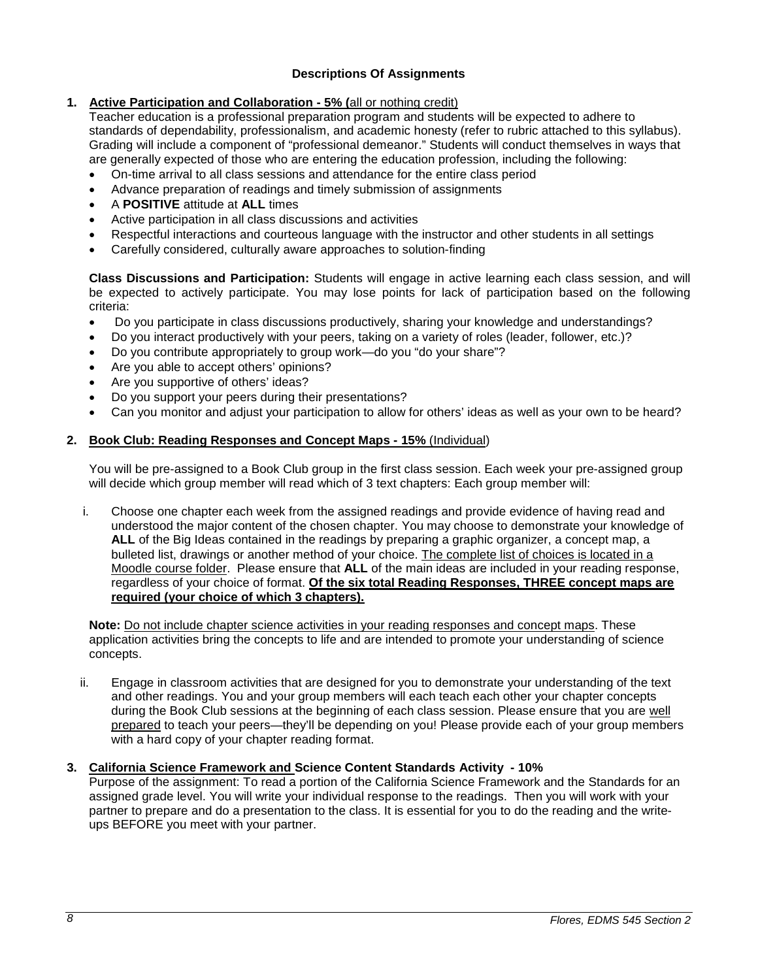# **Descriptions Of Assignments**

# **1. Active Participation and Collaboration - 5% (**all or nothing credit)

Teacher education is a professional preparation program and students will be expected to adhere to standards of dependability, professionalism, and academic honesty (refer to rubric attached to this syllabus). Grading will include a component of "professional demeanor." Students will conduct themselves in ways that are generally expected of those who are entering the education profession, including the following:

- On-time arrival to all class sessions and attendance for the entire class period
- Advance preparation of readings and timely submission of assignments
- A **POSITIVE** attitude at **ALL** times
- Active participation in all class discussions and activities
- Respectful interactions and courteous language with the instructor and other students in all settings
- Carefully considered, culturally aware approaches to solution-finding

**Class Discussions and Participation:** Students will engage in active learning each class session, and will be expected to actively participate. You may lose points for lack of participation based on the following criteria:

- Do you participate in class discussions productively, sharing your knowledge and understandings?
- Do you interact productively with your peers, taking on a variety of roles (leader, follower, etc.)?
- Do you contribute appropriately to group work—do you "do your share"?
- Are you able to accept others' opinions?
- Are you supportive of others' ideas?
- Do you support your peers during their presentations?
- Can you monitor and adjust your participation to allow for others' ideas as well as your own to be heard?

# **2. Book Club: Reading Responses and Concept Maps - 15%** (Individual)

You will be pre-assigned to a Book Club group in the first class session. Each week your pre-assigned group will decide which group member will read which of 3 text chapters: Each group member will:

i. Choose one chapter each week from the assigned readings and provide evidence of having read and understood the major content of the chosen chapter. You may choose to demonstrate your knowledge of **ALL** of the Big Ideas contained in the readings by preparing a graphic organizer, a concept map, a bulleted list, drawings or another method of your choice. The complete list of choices is located in a Moodle course folder. Please ensure that **ALL** of the main ideas are included in your reading response, regardless of your choice of format. **Of the six total Reading Responses, THREE concept maps are required (your choice of which 3 chapters).**

**Note:** Do not include chapter science activities in your reading responses and concept maps. These application activities bring the concepts to life and are intended to promote your understanding of science concepts.

ii. Engage in classroom activities that are designed for you to demonstrate your understanding of the text and other readings. You and your group members will each teach each other your chapter concepts during the Book Club sessions at the beginning of each class session. Please ensure that you are well prepared to teach your peers—they'll be depending on you! Please provide each of your group members with a hard copy of your chapter reading format.

# **3. California Science Framework and Science Content Standards Activity - 10%**

Purpose of the assignment: To read a portion of the California Science Framework and the Standards for an assigned grade level. You will write your individual response to the readings. Then you will work with your partner to prepare and do a presentation to the class. It is essential for you to do the reading and the writeups BEFORE you meet with your partner.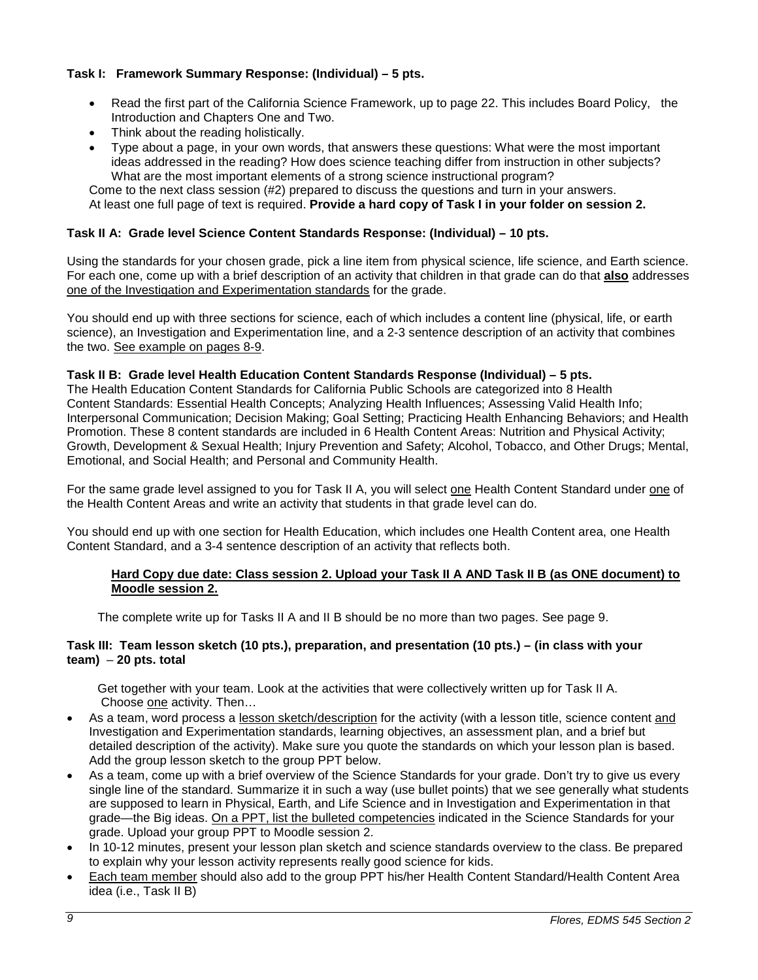# **Task I: Framework Summary Response: (Individual) – 5 pts.**

- Read the first part of the California Science Framework, up to page 22. This includes Board Policy, the Introduction and Chapters One and Two.
- Think about the reading holistically.
- Type about a page, in your own words, that answers these questions: What were the most important ideas addressed in the reading? How does science teaching differ from instruction in other subjects? What are the most important elements of a strong science instructional program?

Come to the next class session (#2) prepared to discuss the questions and turn in your answers. At least one full page of text is required. **Provide a hard copy of Task I in your folder on session 2.**

# **Task II A: Grade level Science Content Standards Response: (Individual) – 10 pts.**

Using the standards for your chosen grade, pick a line item from physical science, life science, and Earth science. For each one, come up with a brief description of an activity that children in that grade can do that **also** addresses one of the Investigation and Experimentation standards for the grade.

You should end up with three sections for science, each of which includes a content line (physical, life, or earth science), an Investigation and Experimentation line, and a 2-3 sentence description of an activity that combines the two. See example on pages 8-9.

### **Task II B: Grade level Health Education Content Standards Response (Individual) – 5 pts.**

The Health Education Content Standards for California Public Schools are categorized into 8 Health Content Standards: Essential Health Concepts; Analyzing Health Influences; Assessing Valid Health Info; Interpersonal Communication; Decision Making; Goal Setting; Practicing Health Enhancing Behaviors; and Health Promotion. These 8 content standards are included in 6 Health Content Areas: Nutrition and Physical Activity; Growth, Development & Sexual Health; Injury Prevention and Safety; Alcohol, Tobacco, and Other Drugs; Mental, Emotional, and Social Health; and Personal and Community Health.

For the same grade level assigned to you for Task II A, you will select one Health Content Standard under one of the Health Content Areas and write an activity that students in that grade level can do.

You should end up with one section for Health Education, which includes one Health Content area, one Health Content Standard, and a 3-4 sentence description of an activity that reflects both.

### **Hard Copy due date: Class session 2. Upload your Task II A AND Task II B (as ONE document) to Moodle session 2.**

The complete write up for Tasks II A and II B should be no more than two pages. See page 9.

### **Task III: Team lesson sketch (10 pts.), preparation, and presentation (10 pts.) – (in class with your team)** – **20 pts. total**

 Get together with your team. Look at the activities that were collectively written up for Task II A. Choose one activity. Then…

- As a team, word process a lesson sketch/description for the activity (with a lesson title, science content and Investigation and Experimentation standards, learning objectives, an assessment plan, and a brief but detailed description of the activity). Make sure you quote the standards on which your lesson plan is based. Add the group lesson sketch to the group PPT below.
- As a team, come up with a brief overview of the Science Standards for your grade. Don't try to give us every single line of the standard. Summarize it in such a way (use bullet points) that we see generally what students are supposed to learn in Physical, Earth, and Life Science and in Investigation and Experimentation in that grade—the Big ideas. On a PPT, list the bulleted competencies indicated in the Science Standards for your grade. Upload your group PPT to Moodle session 2.
- In 10-12 minutes, present your lesson plan sketch and science standards overview to the class. Be prepared to explain why your lesson activity represents really good science for kids.
- Each team member should also add to the group PPT his/her Health Content Standard/Health Content Area idea (i.e., Task II B)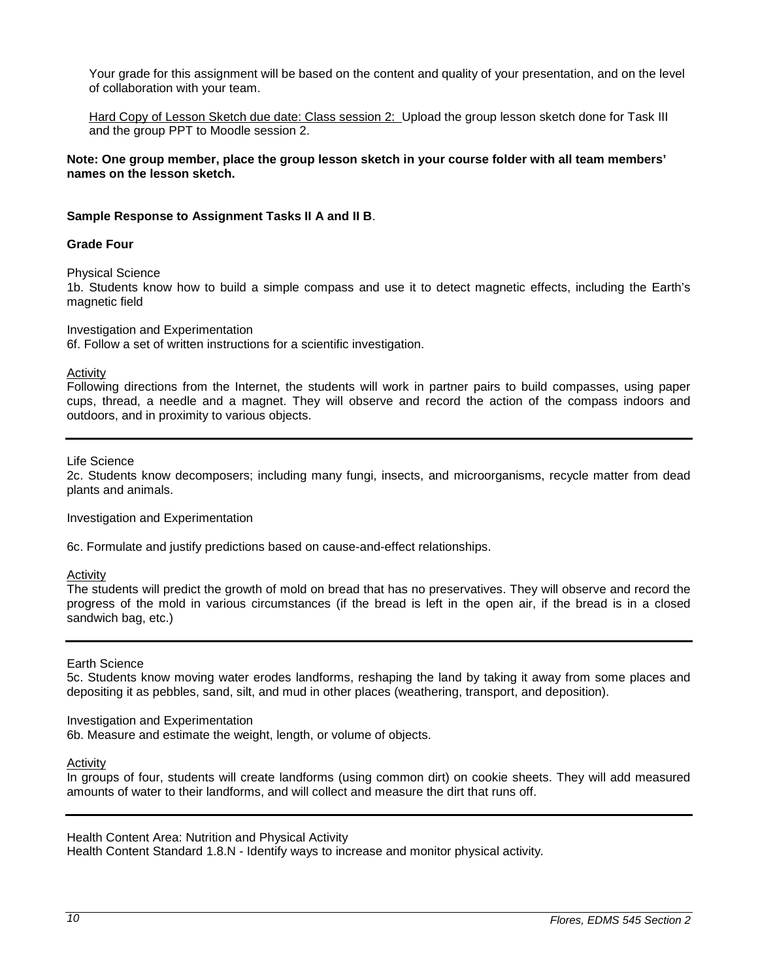Your grade for this assignment will be based on the content and quality of your presentation, and on the level of collaboration with your team.

Hard Copy of Lesson Sketch due date: Class session 2: Upload the group lesson sketch done for Task III and the group PPT to Moodle session 2.

**Note: One group member, place the group lesson sketch in your course folder with all team members' names on the lesson sketch.**

### **Sample Response to Assignment Tasks II A and II B**.

### **Grade Four**

Physical Science

1b. Students know how to build a simple compass and use it to detect magnetic effects, including the Earth's magnetic field

Investigation and Experimentation

6f. Follow a set of written instructions for a scientific investigation.

Activity

Following directions from the Internet, the students will work in partner pairs to build compasses, using paper cups, thread, a needle and a magnet. They will observe and record the action of the compass indoors and outdoors, and in proximity to various objects.

Life Science

2c. Students know decomposers; including many fungi, insects, and microorganisms, recycle matter from dead plants and animals.

Investigation and Experimentation

6c. Formulate and justify predictions based on cause-and-effect relationships.

Activity

The students will predict the growth of mold on bread that has no preservatives. They will observe and record the progress of the mold in various circumstances (if the bread is left in the open air, if the bread is in a closed sandwich bag, etc.)

#### Earth Science

5c. Students know moving water erodes landforms, reshaping the land by taking it away from some places and depositing it as pebbles, sand, silt, and mud in other places (weathering, transport, and deposition).

### Investigation and Experimentation

6b. Measure and estimate the weight, length, or volume of objects.

Activity

In groups of four, students will create landforms (using common dirt) on cookie sheets. They will add measured amounts of water to their landforms, and will collect and measure the dirt that runs off.

Health Content Area: Nutrition and Physical Activity

Health Content Standard 1.8.N - Identify ways to increase and monitor physical activity*.*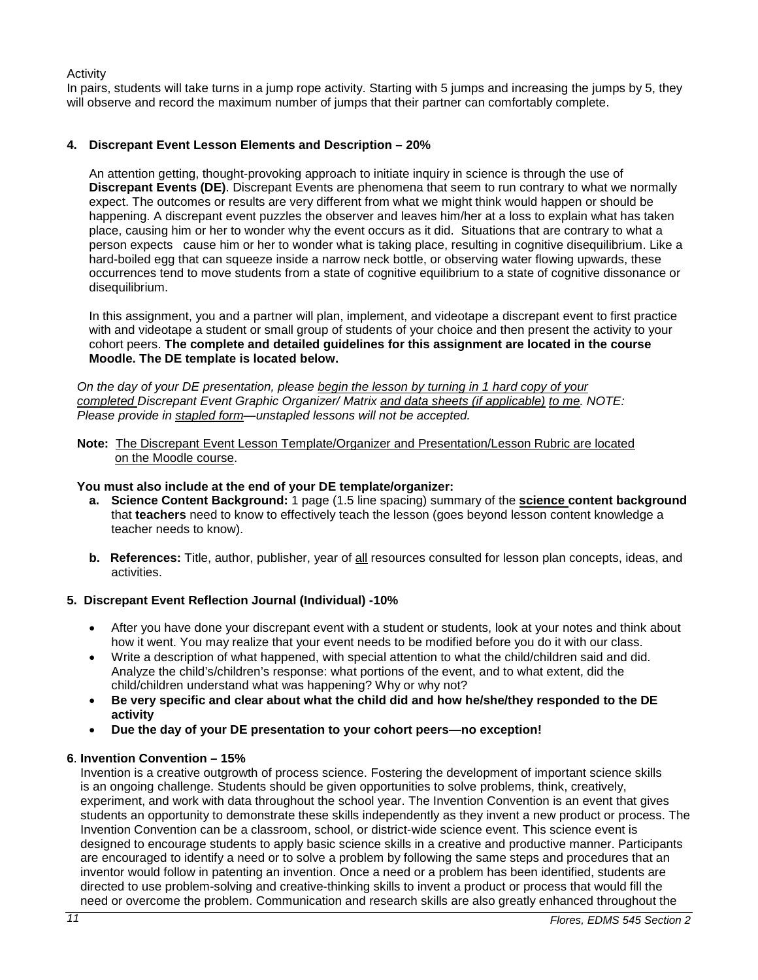Activity

In pairs, students will take turns in a jump rope activity. Starting with 5 jumps and increasing the jumps by 5, they will observe and record the maximum number of jumps that their partner can comfortably complete.

# **4. Discrepant Event Lesson Elements and Description – 20%**

An attention getting, thought-provoking approach to initiate inquiry in science is through the use of **Discrepant Events (DE)**. Discrepant Events are phenomena that seem to run contrary to what we normally expect. The outcomes or results are very different from what we might think would happen or should be happening. A discrepant event puzzles the observer and leaves him/her at a loss to explain what has taken place, causing him or her to wonder why the event occurs as it did. Situations that are contrary to what a person expects cause him or her to wonder what is taking place, resulting in cognitive disequilibrium. Like a hard-boiled egg that can squeeze inside a narrow neck bottle, or observing water flowing upwards, these occurrences tend to move students from a state of cognitive equilibrium to a state of cognitive dissonance or disequilibrium.

In this assignment, you and a partner will plan, implement, and videotape a discrepant event to first practice with and videotape a student or small group of students of your choice and then present the activity to your cohort peers. **The complete and detailed guidelines for this assignment are located in the course Moodle. The DE template is located below.**

*On the day of your DE presentation, please begin the lesson by turning in 1 hard copy of your completed Discrepant Event Graphic Organizer/ Matrix and data sheets (if applicable) to me. NOTE: Please provide in stapled form—unstapled lessons will not be accepted.* 

 **Note:** The Discrepant Event Lesson Template/Organizer and Presentation/Lesson Rubric are located on the Moodle course.

### **You must also include at the end of your DE template/organizer:**

- **a. Science Content Background:** 1 page (1.5 line spacing) summary of the **science content background** that **teachers** need to know to effectively teach the lesson (goes beyond lesson content knowledge a teacher needs to know).
- **b. References:** Title, author, publisher, year of all resources consulted for lesson plan concepts, ideas, and activities.

# **5. Discrepant Event Reflection Journal (Individual) -10%**

- After you have done your discrepant event with a student or students, look at your notes and think about how it went. You may realize that your event needs to be modified before you do it with our class.
- Write a description of what happened, with special attention to what the child/children said and did. Analyze the child's/children's response: what portions of the event, and to what extent, did the child/children understand what was happening? Why or why not?
- **Be very specific and clear about what the child did and how he/she/they responded to the DE activity**
- **Due the day of your DE presentation to your cohort peers—no exception!**

# **6**. **Invention Convention – 15%**

Invention is a creative outgrowth of process science. Fostering the development of important science skills is an ongoing challenge. Students should be given opportunities to solve problems, think, creatively, experiment, and work with data throughout the school year. The Invention Convention is an event that gives students an opportunity to demonstrate these skills independently as they invent a new product or process. The Invention Convention can be a classroom, school, or district-wide science event. This science event is designed to encourage students to apply basic science skills in a creative and productive manner. Participants are encouraged to identify a need or to solve a problem by following the same steps and procedures that an inventor would follow in patenting an invention. Once a need or a problem has been identified, students are directed to use problem-solving and creative-thinking skills to invent a product or process that would fill the need or overcome the problem. Communication and research skills are also greatly enhanced throughout the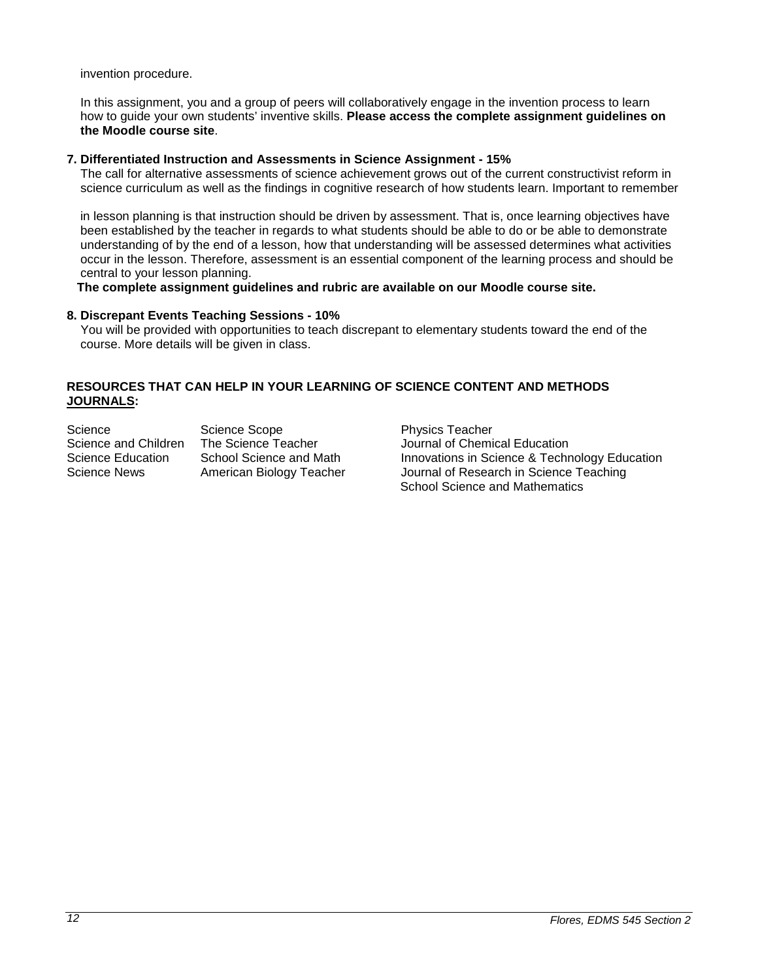invention procedure.

 In this assignment, you and a group of peers will collaboratively engage in the invention process to learn how to guide your own students' inventive skills. **Please access the complete assignment guidelines on the Moodle course site**.

### **7. Differentiated Instruction and Assessments in Science Assignment - 15%**

The call for alternative assessments of science achievement grows out of the current constructivist reform in science curriculum as well as the findings in cognitive research of how students learn. Important to remember

 in lesson planning is that instruction should be driven by assessment. That is, once learning objectives have been established by the teacher in regards to what students should be able to do or be able to demonstrate understanding of by the end of a lesson, how that understanding will be assessed determines what activities occur in the lesson. Therefore, assessment is an essential component of the learning process and should be central to your lesson planning.

**The complete assignment guidelines and rubric are available on our Moodle course site.**

### **8. Discrepant Events Teaching Sessions - 10%**

 You will be provided with opportunities to teach discrepant to elementary students toward the end of the course. More details will be given in class.

### **RESOURCES THAT CAN HELP IN YOUR LEARNING OF SCIENCE CONTENT AND METHODS JOURNALS:**

Science Scope Science Scope<br>Science and Children The Science Teacher Science Scournal of Chemi Science and Children The Science Teacher Journal of Chemical Education<br>Science Education School Science and Math Innovations in Science & Techn Science News American Biology Teacher Journal of Research in Science Teaching

Innovations in Science & Technology Education School Science and Mathematics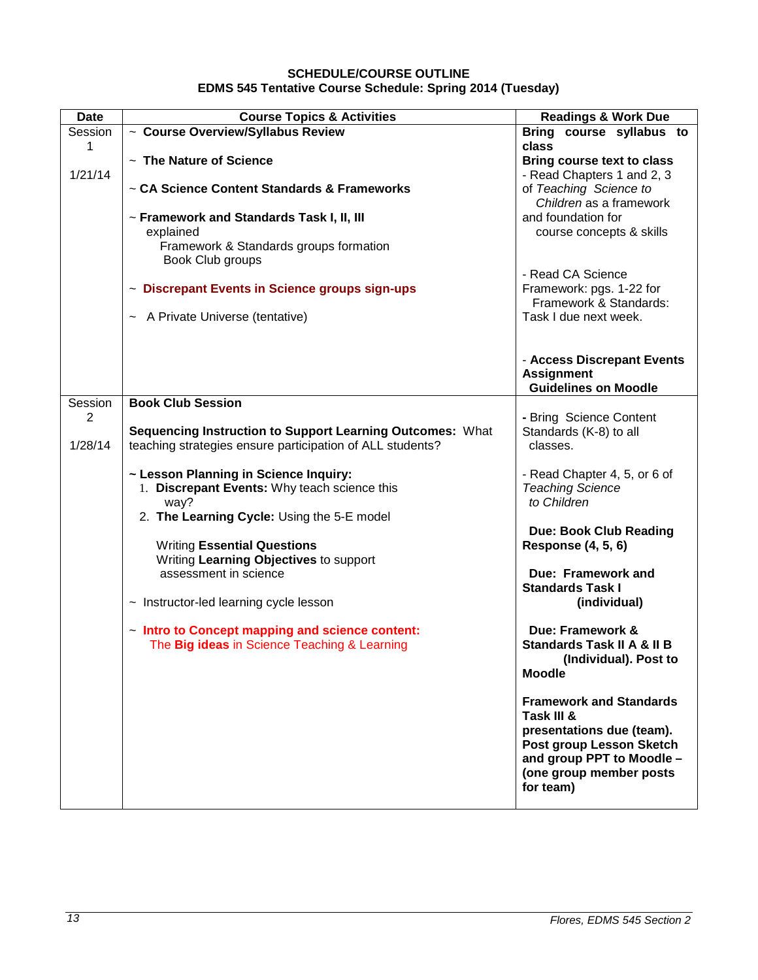# **SCHEDULE/COURSE OUTLINE EDMS 545 Tentative Course Schedule: Spring 2014 (Tuesday)**

<span id="page-12-0"></span>

| Date    | <b>Course Topics &amp; Activities</b>                           | <b>Readings &amp; Work Due</b>                                  |
|---------|-----------------------------------------------------------------|-----------------------------------------------------------------|
| Session | ~ Course Overview/Syllabus Review                               | Bring course syllabus to                                        |
| 1       |                                                                 | class                                                           |
| 1/21/14 | ~ The Nature of Science                                         | <b>Bring course text to class</b><br>- Read Chapters 1 and 2, 3 |
|         | ~ CA Science Content Standards & Frameworks                     | of Teaching Science to                                          |
|         |                                                                 | Children as a framework                                         |
|         | ~ Framework and Standards Task I, II, III                       | and foundation for                                              |
|         | explained                                                       | course concepts & skills                                        |
|         | Framework & Standards groups formation                          |                                                                 |
|         | Book Club groups                                                |                                                                 |
|         |                                                                 | - Read CA Science                                               |
|         | ~ Discrepant Events in Science groups sign-ups                  | Framework: pgs. 1-22 for                                        |
|         |                                                                 | Framework & Standards:<br>Task I due next week.                 |
|         | ~ A Private Universe (tentative)                                |                                                                 |
|         |                                                                 |                                                                 |
|         |                                                                 | - Access Discrepant Events                                      |
|         |                                                                 | <b>Assignment</b>                                               |
|         |                                                                 | <b>Guidelines on Moodle</b>                                     |
| Session | <b>Book Club Session</b>                                        |                                                                 |
| 2       |                                                                 | - Bring Science Content                                         |
| 1/28/14 | Sequencing Instruction to Support Learning Outcomes: What       | Standards (K-8) to all<br>classes.                              |
|         | teaching strategies ensure participation of ALL students?       |                                                                 |
|         | ~ Lesson Planning in Science Inquiry:                           | - Read Chapter 4, 5, or 6 of                                    |
|         | 1. Discrepant Events: Why teach science this                    | <b>Teaching Science</b>                                         |
|         | way?                                                            | to Children                                                     |
|         | 2. The Learning Cycle: Using the 5-E model                      |                                                                 |
|         |                                                                 | <b>Due: Book Club Reading</b>                                   |
|         | <b>Writing Essential Questions</b>                              | <b>Response (4, 5, 6)</b>                                       |
|         | Writing Learning Objectives to support<br>assessment in science |                                                                 |
|         |                                                                 | Due: Framework and<br><b>Standards Task I</b>                   |
|         | $\sim$ Instructor-led learning cycle lesson                     | (individual)                                                    |
|         |                                                                 |                                                                 |
|         | - Intro to Concept mapping and science content:                 | Due: Framework &                                                |
|         | The Big ideas in Science Teaching & Learning                    | <b>Standards Task II A &amp; II B</b>                           |
|         |                                                                 | (Individual). Post to                                           |
|         |                                                                 | <b>Moodle</b>                                                   |
|         |                                                                 | <b>Framework and Standards</b>                                  |
|         |                                                                 | Task III &                                                      |
|         |                                                                 | presentations due (team).                                       |
|         |                                                                 | Post group Lesson Sketch                                        |
|         |                                                                 | and group PPT to Moodle -                                       |
|         |                                                                 | (one group member posts                                         |
|         |                                                                 | for team)                                                       |
|         |                                                                 |                                                                 |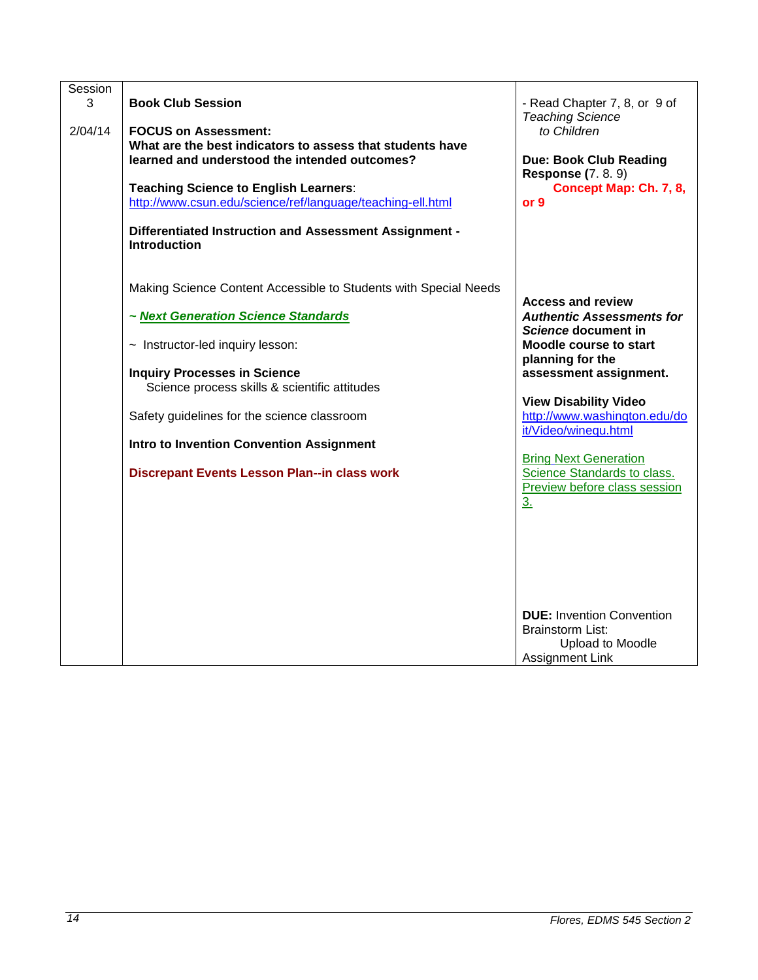| Session |                                                                               |                                  |
|---------|-------------------------------------------------------------------------------|----------------------------------|
| 3       | <b>Book Club Session</b>                                                      | - Read Chapter 7, 8, or 9 of     |
|         |                                                                               | <b>Teaching Science</b>          |
| 2/04/14 | <b>FOCUS on Assessment:</b>                                                   | to Children                      |
|         |                                                                               |                                  |
|         | What are the best indicators to assess that students have                     |                                  |
|         | learned and understood the intended outcomes?                                 | <b>Due: Book Club Reading</b>    |
|         |                                                                               | <b>Response (7.8.9)</b>          |
|         | <b>Teaching Science to English Learners:</b>                                  | Concept Map: Ch. 7, 8,           |
|         | http://www.csun.edu/science/ref/language/teaching-ell.html                    | or 9                             |
|         |                                                                               |                                  |
|         | Differentiated Instruction and Assessment Assignment -<br><b>Introduction</b> |                                  |
|         | Making Science Content Accessible to Students with Special Needs              |                                  |
|         |                                                                               | <b>Access and review</b>         |
|         | ~ Next Generation Science Standards                                           | <b>Authentic Assessments for</b> |
|         |                                                                               | Science document in              |
|         | $\sim$ Instructor-led inquiry lesson:                                         | Moodle course to start           |
|         |                                                                               | planning for the                 |
|         | <b>Inquiry Processes in Science</b>                                           | assessment assignment.           |
|         | Science process skills & scientific attitudes                                 |                                  |
|         |                                                                               | <b>View Disability Video</b>     |
|         | Safety guidelines for the science classroom                                   | http://www.washington.edu/do     |
|         |                                                                               | it/Video/winequ.html             |
|         |                                                                               |                                  |
|         | <b>Intro to Invention Convention Assignment</b>                               |                                  |
|         |                                                                               | <b>Bring Next Generation</b>     |
|         | Discrepant Events Lesson Plan--in class work                                  | Science Standards to class.      |
|         |                                                                               | Preview before class session     |
|         |                                                                               | 3.                               |
|         |                                                                               |                                  |
|         |                                                                               |                                  |
|         |                                                                               |                                  |
|         |                                                                               |                                  |
|         |                                                                               |                                  |
|         |                                                                               |                                  |
|         |                                                                               |                                  |
|         |                                                                               |                                  |
|         |                                                                               | <b>DUE:</b> Invention Convention |
|         |                                                                               | <b>Brainstorm List:</b>          |
|         |                                                                               | Upload to Moodle                 |
|         |                                                                               | Assignment Link                  |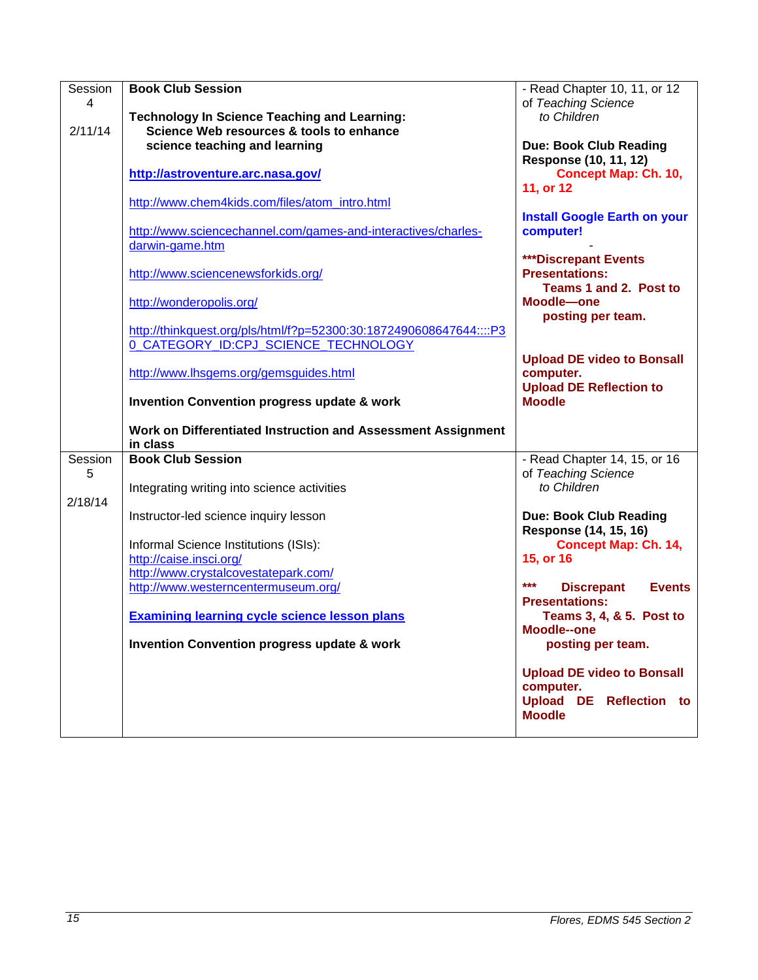| Session | <b>Book Club Session</b>                                           | - Read Chapter 10, 11, or 12        |
|---------|--------------------------------------------------------------------|-------------------------------------|
| 4       |                                                                    | of Teaching Science                 |
|         |                                                                    | to Children                         |
|         | <b>Technology In Science Teaching and Learning:</b>                |                                     |
| 2/11/14 | Science Web resources & tools to enhance                           |                                     |
|         | science teaching and learning                                      | <b>Due: Book Club Reading</b>       |
|         |                                                                    |                                     |
|         |                                                                    | Response (10, 11, 12)               |
|         | http://astroventure.arc.nasa.gov/                                  | <b>Concept Map: Ch. 10,</b>         |
|         |                                                                    | 11, or 12                           |
|         |                                                                    |                                     |
|         | http://www.chem4kids.com/files/atom_intro.html                     |                                     |
|         |                                                                    | <b>Install Google Earth on your</b> |
|         |                                                                    |                                     |
|         | http://www.sciencechannel.com/games-and-interactives/charles-      | computer!                           |
|         | darwin-game.htm                                                    |                                     |
|         |                                                                    | <b>***Discrepant Events</b>         |
|         |                                                                    |                                     |
|         | http://www.sciencenewsforkids.org/                                 | <b>Presentations:</b>               |
|         |                                                                    | Teams 1 and 2. Post to              |
|         |                                                                    |                                     |
|         | http://wonderopolis.org/                                           | Moodle-one                          |
|         |                                                                    | posting per team.                   |
|         |                                                                    |                                     |
|         | http://thinkquest.org/pls/html/f?p=52300:30:1872490608647644::::P3 |                                     |
|         | 0 CATEGORY ID:CPJ SCIENCE TECHNOLOGY                               |                                     |
|         |                                                                    | <b>Upload DE video to Bonsall</b>   |
|         |                                                                    |                                     |
|         | http://www.lhsgems.org/gemsguides.html                             | computer.                           |
|         |                                                                    | <b>Upload DE Reflection to</b>      |
|         | <b>Invention Convention progress update &amp; work</b>             | <b>Moodle</b>                       |
|         |                                                                    |                                     |
|         |                                                                    |                                     |
|         |                                                                    |                                     |
|         |                                                                    |                                     |
|         | Work on Differentiated Instruction and Assessment Assignment       |                                     |
|         | in class                                                           |                                     |
| Session | <b>Book Club Session</b>                                           | - Read Chapter 14, 15, or 16        |
|         |                                                                    |                                     |
| 5       |                                                                    | of Teaching Science                 |
|         | Integrating writing into science activities                        | to Children                         |
| 2/18/14 |                                                                    |                                     |
|         |                                                                    |                                     |
|         | Instructor-led science inquiry lesson                              | <b>Due: Book Club Reading</b>       |
|         |                                                                    | Response (14, 15, 16)               |
|         |                                                                    |                                     |
|         | Informal Science Institutions (ISIs):                              | <b>Concept Map: Ch. 14,</b>         |
|         | http://caise.insci.org/                                            | 15, or 16                           |
|         | http://www.crystalcovestatepark.com/                               |                                     |
|         |                                                                    | $***$<br><b>Events</b>              |
|         | http://www.westerncentermuseum.org/                                | <b>Discrepant</b>                   |
|         |                                                                    | <b>Presentations:</b>               |
|         | <b>Examining learning cycle science lesson plans</b>               | Teams 3, 4, & 5. Post to            |
|         |                                                                    |                                     |
|         |                                                                    | Moodle--one                         |
|         | <b>Invention Convention progress update &amp; work</b>             | posting per team.                   |
|         |                                                                    |                                     |
|         |                                                                    |                                     |
|         |                                                                    | <b>Upload DE video to Bonsall</b>   |
|         |                                                                    | computer.                           |
|         |                                                                    |                                     |
|         |                                                                    | Upload DE Reflection to             |
|         |                                                                    | <b>Moodle</b>                       |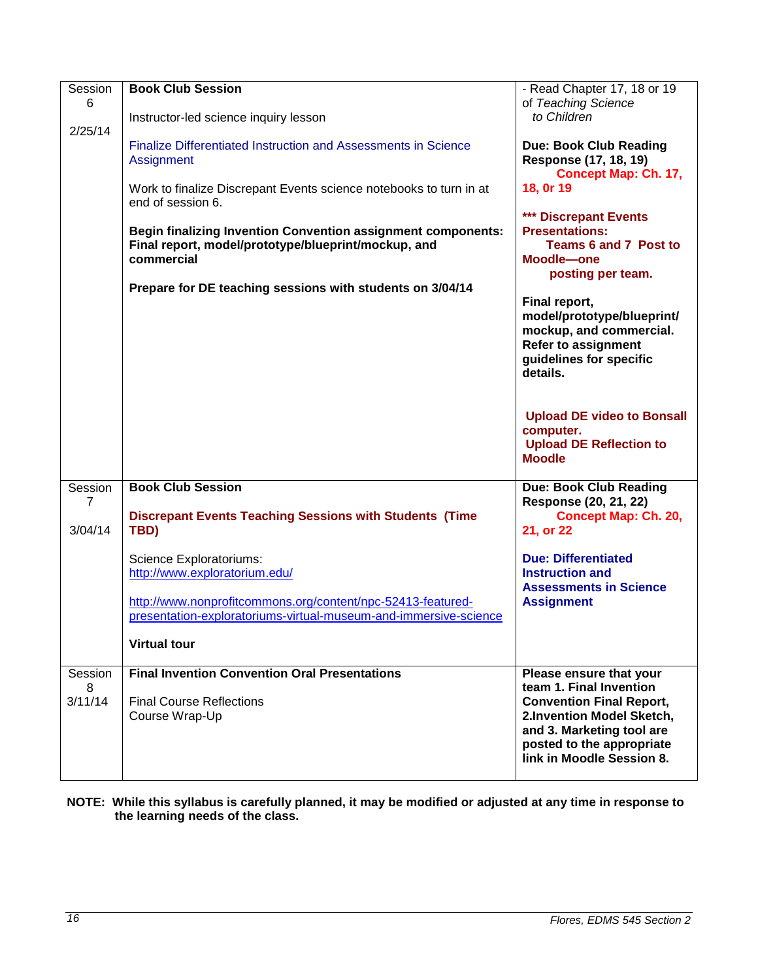| Session<br>6 | <b>Book Club Session</b>                                                                                                                 | - Read Chapter 17, 18 or 19<br>of Teaching Science                                                                                          |
|--------------|------------------------------------------------------------------------------------------------------------------------------------------|---------------------------------------------------------------------------------------------------------------------------------------------|
| 2/25/14      | Instructor-led science inquiry lesson                                                                                                    | to Children                                                                                                                                 |
|              | <b>Finalize Differentiated Instruction and Assessments in Science</b><br>Assignment                                                      | <b>Due: Book Club Reading</b><br>Response (17, 18, 19)<br><b>Concept Map: Ch. 17,</b>                                                       |
|              | Work to finalize Discrepant Events science notebooks to turn in at<br>end of session 6.                                                  | 18, 0r 19                                                                                                                                   |
|              | <b>Begin finalizing Invention Convention assignment components:</b><br>Final report, model/prototype/blueprint/mockup, and<br>commercial | *** Discrepant Events<br><b>Presentations:</b><br>Teams 6 and 7 Post to<br>Moodle-one<br>posting per team.                                  |
|              | Prepare for DE teaching sessions with students on 3/04/14                                                                                |                                                                                                                                             |
|              |                                                                                                                                          | Final report,<br>model/prototype/blueprint/<br>mockup, and commercial.<br><b>Refer to assignment</b><br>guidelines for specific<br>details. |
|              |                                                                                                                                          | <b>Upload DE video to Bonsall</b><br>computer.<br><b>Upload DE Reflection to</b>                                                            |
|              |                                                                                                                                          | <b>Moodle</b>                                                                                                                               |
| Session<br>7 | <b>Book Club Session</b>                                                                                                                 | <b>Due: Book Club Reading</b><br>Response (20, 21, 22)                                                                                      |
| 3/04/14      | <b>Discrepant Events Teaching Sessions with Students (Time</b><br>TBD)                                                                   | <b>Concept Map: Ch. 20,</b><br>21, or 22                                                                                                    |
|              | Science Exploratoriums:                                                                                                                  | <b>Due: Differentiated</b>                                                                                                                  |
|              | http://www.exploratorium.edu/                                                                                                            | <b>Instruction and</b><br><b>Assessments in Science</b>                                                                                     |
|              | http://www.nonprofitcommons.org/content/npc-52413-featured-                                                                              | <b>Assignment</b>                                                                                                                           |
|              | presentation-exploratoriums-virtual-museum-and-immersive-science                                                                         |                                                                                                                                             |
|              | <b>Virtual tour</b>                                                                                                                      |                                                                                                                                             |
| Session      | <b>Final Invention Convention Oral Presentations</b>                                                                                     | Please ensure that your                                                                                                                     |
| 8            |                                                                                                                                          | team 1. Final Invention                                                                                                                     |
| 3/11/14      | <b>Final Course Reflections</b>                                                                                                          | <b>Convention Final Report,</b>                                                                                                             |
|              | Course Wrap-Up                                                                                                                           | 2.Invention Model Sketch,<br>and 3. Marketing tool are                                                                                      |
|              |                                                                                                                                          | posted to the appropriate                                                                                                                   |
|              |                                                                                                                                          | link in Moodle Session 8.                                                                                                                   |
|              |                                                                                                                                          |                                                                                                                                             |

### **NOTE: While this syllabus is carefully planned, it may be modified or adjusted at any time in response to the learning needs of the class.**